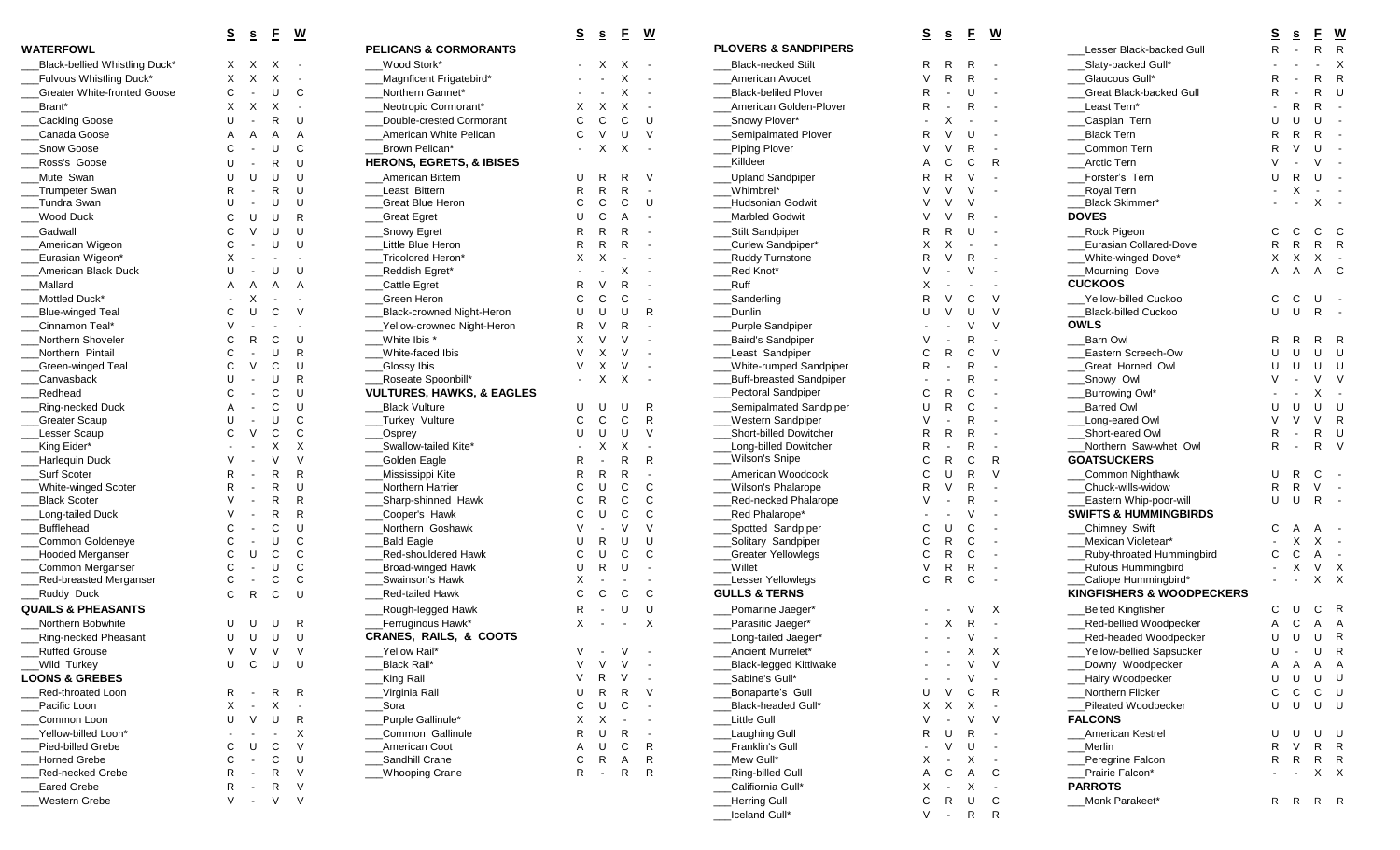| Black-bellied Whistling Duck*      | х                        | х                        | х                        | $\overline{\phantom{a}}$ | Wood Stork*                |
|------------------------------------|--------------------------|--------------------------|--------------------------|--------------------------|----------------------------|
| Fulvous Whistling Duck*            | X                        | X                        | X                        | $\overline{\phantom{a}}$ | Magnficent Frigatebi       |
| <b>Greater White-fronted Goose</b> | C                        | $\frac{1}{2}$            | U                        | С                        | Northern Gannet*           |
| Brant*                             | X                        | Χ                        | х                        | $\overline{\phantom{a}}$ | Neotropic Cormoran         |
| Cackling Goose                     | U                        | $\blacksquare$           | R                        | U                        | Double-crested Corr        |
| Canada Goose                       | A                        | Α                        | A                        | Α                        | American White Peli        |
| Snow Goose                         | C                        | $\overline{a}$           | U                        | C                        | Brown Pelican*             |
| Ross's Goose                       | U                        | $\overline{\phantom{a}}$ | R                        | U                        | <b>HERONS, EGRETS, 8</b>   |
| Mute Swan                          | U                        | U                        | U                        | U                        | American Bittern           |
| Trumpeter Swan                     | R                        | $\overline{\phantom{a}}$ | R                        | U                        | Least Bittern              |
| Tundra Swan                        | U                        | $\overline{\phantom{a}}$ | U                        | U                        | Great Blue Heron           |
| Wood Duck                          | C                        | U                        | U                        | R                        | <b>Great Egret</b>         |
| Gadwall                            | C                        | V                        | U                        | U                        | Snowy Egret                |
| American Wigeon                    | С                        | $\overline{a}$           | U                        | U                        | Little Blue Heron          |
| Eurasian Wigeon*                   | X                        | $\centerdot$             | $\overline{\phantom{a}}$ | $\overline{\phantom{a}}$ | Tricolored Heron*          |
| American Black Duck                | U                        | $\blacksquare$           | U                        | U                        | Reddish Egret*             |
| Mallard                            | A                        | Α                        | A                        | A                        | Cattle Egret               |
| Mottled Duck*                      | $\overline{\phantom{a}}$ | X                        | $\overline{\phantom{a}}$ | $\overline{\phantom{a}}$ | Green Heron                |
| <b>Blue-winged Teal</b>            | С                        | U                        | C                        | V                        | <b>Black-crowned Night</b> |
| Cinnamon Teal*                     | V                        | $\blacksquare$           | $\frac{1}{2}$            | $\blacksquare$           | Yellow-crowned Nigl        |
| Northern Shoveler                  | C                        | R                        | С                        | U                        | White Ibis *               |
| Northern Pintail                   | С                        | $\blacksquare$           | U                        | R                        | White-faced Ibis           |
| Green-winged Teal                  | С                        | V                        | С                        | U                        | Glossy Ibis                |
| Canvasback                         | U                        | $\overline{a}$           | U                        | R                        | Roseate Spoonbill*         |
| Redhead                            | C                        | $\overline{\phantom{a}}$ | C                        | U                        | <b>VULTURES, HAWKS,</b>    |
| Ring-necked Duck                   | A                        | $\overline{\phantom{a}}$ | C                        | U                        | <b>Black Vulture</b>       |
| Greater Scaup                      | U                        | $\overline{\phantom{a}}$ | U                        | С                        | Turkey Vulture             |
| Lesser Scaup                       | C                        | V                        | С                        | С                        | Osprey                     |
| King Eider*                        | $\overline{\phantom{a}}$ | $\overline{a}$           | х                        | Х                        | Swallow-tailed Kite*       |
| Harlequin Duck                     | V                        | $\frac{1}{2}$            | V                        | V                        | Golden Eagle               |
| Surf Scoter                        | R                        | $\overline{\phantom{a}}$ | R                        | R                        | Mississippi Kite           |
| <b>White-winged Scoter</b>         | R                        | $\frac{1}{2}$            | R                        | U                        | Northern Harrier           |
| <b>Black Scoter</b>                | V                        | $\overline{a}$           | R                        | R                        | Sharp-shinned Haw          |
| Long-tailed Duck                   | V                        | $\overline{\phantom{a}}$ | R                        | R                        | Cooper's Hawk              |
| <b>Bufflehead</b>                  | С                        | $\overline{\phantom{a}}$ | C                        | U                        | Northern Goshawk           |
| Common Goldeneye                   | С                        | $\blacksquare$           | U                        | С                        | <b>Bald Eagle</b>          |
| <b>Hooded Merganser</b>            | С                        | U                        | С                        | C                        | Red-shouldered Hav         |
| Common Merganser                   | C                        | $\overline{\phantom{a}}$ | U                        | С                        | Broad-winged Hawk          |
| Red-breasted Merganser             | С                        | $\overline{\phantom{a}}$ | С                        | С                        | Swainson's Hawk            |
| Ruddy Duck                         | C                        | R                        | C                        | U                        | Red-tailed Hawk            |
| <b>QUAILS &amp; PHEASANTS</b>      |                          |                          |                          |                          | Rough-legged Hawk          |
| Northern Bobwhite                  | U                        | U                        | U                        | R                        | Ferruginous Hawk*          |
| Ring-necked Pheasant               | U                        | U                        | U                        | U                        | CRANES, RAILS, &           |
| <b>Ruffed Grouse</b>               | V                        | V                        | V                        | V                        | Yellow Rail*               |
| Wild Turkey                        | U                        | C                        | U                        | U                        | Black Rail*                |
| <b>LOONS &amp; GREBES</b>          |                          |                          |                          |                          | King Rail                  |
| Red-throated Loon                  | R                        | $\overline{\phantom{a}}$ | R                        | R                        | Virginia Rail              |
| Pacific Loon                       | X                        | $\blacksquare$           | Χ                        | $\overline{\phantom{a}}$ | Sora                       |
| Common Loon                        | U                        | V                        | U                        | R                        | Purple Gallinule*          |
| Yellow-billed Loon*                | $\overline{\phantom{a}}$ | $\overline{\phantom{a}}$ | ÷,                       | X                        | Common Gallinule           |
| Pied-billed Grebe                  | C                        | U                        | С                        | V                        | American Coot              |
| <b>Horned Grebe</b>                | C                        | $\blacksquare$           | С                        | U                        | Sandhill Crane             |
| Red-necked Grebe                   | R                        | $\blacksquare$           | R                        | V                        | <b>Whooping Crane</b>      |
| <b>Eared Grebe</b>                 | R                        | $\overline{\phantom{a}}$ | $\mathsf{R}$             | V                        |                            |
| Western Grebe                      | V                        | $\frac{1}{2}$            | V                        | V                        |                            |
|                                    |                          |                          |                          |                          |                            |

|                                    | $\overline{\mathbf{s}}$ | S          | E       | $\underline{\mathsf{w}}$  |                                      | $\overline{\mathbf{s}}$ | $\underline{\mathbf{s}}$ | E                        | <u>w</u>                 |                                 | <u>s</u>     | $\underline{\mathbf{s}}$ | E                              | <u>w</u>                  |                                     |
|------------------------------------|-------------------------|------------|---------|---------------------------|--------------------------------------|-------------------------|--------------------------|--------------------------|--------------------------|---------------------------------|--------------|--------------------------|--------------------------------|---------------------------|-------------------------------------|
| <b>WATERFOWL</b>                   |                         |            |         |                           | <b>PELICANS &amp; CORMORANTS</b>     |                         |                          |                          |                          | <b>PLOVERS &amp; SANDPIPERS</b> |              |                          |                                |                           | Lesser Black-backed Gull            |
| Black-bellied Whistling Duck*      | X.                      | X          | X       |                           | Wood Stork*                          |                         |                          | Χ                        |                          | <b>Black-necked Stilt</b>       | R            | R                        | R                              |                           | Slaty-backed Gull*                  |
| Fulvous Whistling Duck*            | Χ                       | X          | X       |                           | Magnficent Frigatebird*              |                         |                          |                          |                          | American Avocet                 |              | R                        | R                              |                           | Glaucous Gull*                      |
| <b>Greater White-fronted Goose</b> | C                       |            | U       | C                         | Northern Gannet*                     |                         |                          | X                        | $\sim$                   | <b>Black-beliled Plover</b>     |              |                          | U                              | $\sim$                    | Great Black-backed Gull             |
| Brant*                             | X                       | X          | X       | $\overline{\phantom{a}}$  | Neotropic Cormorant*                 | X                       | Χ                        | X                        | $\sim$                   | American Golden-Plover          |              |                          | R                              | $\sim$                    | Least Tern*                         |
| Cackling Goose                     | U                       |            | R       | U                         | Double-crested Cormorant             | С                       | C                        | C                        | U                        | Snowy Plover*                   |              |                          |                                |                           | Caspian Tern                        |
| Canada Goose                       |                         |            | A       | A                         | American White Pelican               | C                       |                          | U                        | $\vee$                   | Semipalmated Plover             |              |                          | U                              |                           | <b>Black Tern</b>                   |
| Snow Goose                         |                         |            | U       | C                         | Brown Pelican*                       |                         | X                        | X                        | $\sim$                   | Piping Plover                   |              |                          | R                              | $\overline{\phantom{a}}$  | Common Tern                         |
| Ross's Goose                       |                         |            | R       | U                         | <b>HERONS, EGRETS, &amp; IBISES</b>  |                         |                          |                          |                          | Killdeer                        |              |                          | C                              | R                         | <b>Arctic Tern</b>                  |
| Mute Swan                          |                         | U          | U       | U                         | American Bittern                     | U                       |                          | R                        | - V                      | <b>Upland Sandpiper</b>         |              | R                        | V                              |                           | Forster's Tern                      |
| Trumpeter Swan                     |                         |            | R       | U                         | _Least Bittern                       | R                       | R                        | $\mathsf{R}$             | $\sim$                   | Whimbrel*                       |              |                          | $\vee$                         | $\sim$                    | _Royal Tern                         |
| Tundra Swan                        |                         |            | U       | U                         | Great Blue Heron                     | С                       | C                        | C                        | U                        | <b>Hudsonian Godwit</b>         |              |                          | $\vee$                         |                           | Black Skimmer*                      |
| <b>Wood Duck</b>                   |                         | U          | U       | $\mathsf{R}$              | <b>Great Egret</b>                   |                         | C                        | A                        |                          | <b>Marbled Godwit</b>           |              |                          | R                              |                           | <b>DOVES</b>                        |
| Gadwall                            |                         |            | U       | U                         | Snowy Egret                          | R                       |                          | R                        |                          | Stilt Sandpiper                 |              |                          | U                              |                           | Rock Pigeon                         |
| American Wigeon                    |                         |            | U       | U                         | Little Blue Heron                    | R                       |                          | R                        |                          | Curlew Sandpiper*               |              |                          |                                |                           | Eurasian Collared-Dove              |
| Eurasian Wigeon*                   |                         |            |         |                           | Tricolored Heron*                    |                         |                          |                          |                          | <b>Ruddy Turnstone</b>          |              |                          | R                              | $\sim$                    | White-winged Dove'                  |
| American Black Duck                |                         |            | U       | U                         | Reddish Egret*                       |                         |                          |                          |                          | _Red Knot*                      |              |                          | $\vee$                         |                           | Mourning Dove                       |
| Mallard                            |                         |            | A       | Α                         | Cattle Egret                         |                         |                          | R                        | $\overline{\phantom{a}}$ | Ruff                            |              |                          |                                |                           | <b>CUCKOOS</b>                      |
| Mottled Duck*                      |                         |            |         |                           | Green Heron                          |                         | C                        | C                        | $\sim$                   | Sanderling                      |              |                          | C                              | $\vee$                    | Yellow-billed Cuckoo                |
| Blue-winged Teal                   |                         | U          | C       | $\vee$                    | Black-crowned Night-Heron            | U                       | U                        | U                        | R                        | Dunlin                          |              |                          | U                              | $\vee$                    | <b>Black-billed Cuckoo</b>          |
| Cinnamon Teal*                     |                         |            |         |                           | Yellow-crowned Night-Heron           |                         |                          | R                        |                          | Purple Sandpiper                |              |                          | $\vee$                         | $\vee$                    | <b>OWLS</b>                         |
| Northern Shoveler                  |                         | R          | C       | U                         | White Ibis '                         | X                       |                          | $\vee$                   |                          | Baird's Sandpiper               |              |                          | R                              |                           | Barn Owl                            |
| Northern Pintail                   |                         |            | U       | $\mathsf{R}$              | White-faced Ibis                     |                         | X                        | $\vee$                   |                          | Least Sandpiper                 |              |                          | C                              | $\vee$                    | Eastern Screech-Owl                 |
| Green-winged Teal                  |                         |            | C       | U                         | Glossy Ibis                          | $\vee$                  | X                        | $\vee$                   | $\sim$                   | White-rumped Sandpiper          |              |                          | R                              | $\sim$                    | Great Horned Owl                    |
| Canvasback                         |                         |            | U       | R                         | Roseate Spoonbill'                   |                         | X                        | X                        | $\overline{\phantom{a}}$ | <b>Buff-breasted Sandpiper</b>  |              |                          | R                              |                           | Snowy Owl                           |
| Redhead                            |                         |            | C       | U                         | <b>VULTURES, HAWKS, &amp; EAGLES</b> |                         |                          |                          |                          | Pectoral Sandpiper              |              |                          | C                              |                           | Burrowing Owl*                      |
| Ring-necked Duck                   |                         |            | C       | U                         | <b>Black Vulture</b>                 | U                       | U                        | U                        | R                        | Semipalmated Sandpiper          |              | R                        | C                              | $\overline{\phantom{a}}$  | <b>Barred Owl</b>                   |
| <b>Greater Scaup</b>               |                         |            | U       | C                         | Turkey Vulture                       | C                       | C                        | C                        | $\mathsf{R}$             | Western Sandpiper               |              |                          | R                              |                           | Long-eared Owl                      |
| Lesser Scaup                       |                         |            | C       | C                         | Osprey                               | U                       | U                        | U                        | $\vee$                   | Short-billed Dowitcher          |              | R                        | R                              |                           | Short-eared Owl                     |
| King Eider*                        |                         |            | X       | X                         | Swallow-tailed Kite*                 |                         | X                        | X                        |                          | Long-billed Dowitcher           |              |                          | R                              |                           | Northern Saw-whet Owl               |
| Harlequin Duck                     |                         |            |         | $\vee$                    | Golden Eagle                         | R                       |                          | R                        | R                        | Wilson's Snipe                  |              |                          | C                              | R                         | <b>GOATSUCKERS</b>                  |
| Surf Scoter                        |                         |            | R       | $\mathsf{R}$              | Mississippi Kite                     |                         |                          | $\mathsf{R}$             |                          | American Woodcock               |              | U                        | R                              | $\vee$                    | Common Nighthawk                    |
| White-winged Scoter                |                         |            | R       | U                         | Northern Harrier                     |                         | U                        | C                        | C                        | Wilson's Phalarope              |              |                          | R                              | $\overline{\phantom{a}}$  | Chuck-wills-widow                   |
| <b>Black Scoter</b>                |                         |            | R       | $\mathsf{R}$              | Sharp-shinned Hawk                   |                         |                          | C                        | C                        | <b>Red-necked Phalarope</b>     |              |                          | R                              |                           | Eastern Whip-poor-will              |
| Long-tailed Duck                   |                         |            | R       | $\mathsf{R}$              | Cooper's Hawk                        |                         |                          | C                        | C                        | _Red Phalarope*                 |              |                          |                                |                           | <b>SWIFTS &amp; HUMMINGBIRD</b>     |
| <b>Bufflehead</b>                  |                         |            | C       | U                         | Northern Goshawk                     |                         |                          | $\vee$                   | $\vee$                   | Spotted Sandpiper               |              | U                        | C                              |                           | Chimney Swift                       |
| Common Goldeneye                   |                         |            | U       | C                         | <b>Bald Eagle</b>                    |                         |                          | U                        | U                        | Solitary Sandpiper              |              | R                        | C                              | $\sim$                    | Mexican Violetear*                  |
| <b>Hooded Merganser</b>            |                         |            | C       | C                         | Red-shouldered Hawk                  | C                       | U                        | C                        | C                        | <b>Greater Yellowlegs</b>       |              | R                        | C                              |                           | <b>Ruby-throated Hummingb</b>       |
| Common Merganser                   |                         |            | U       | C                         | Broad-winged Hawk                    |                         |                          | U                        |                          | Willet                          |              | R                        | R                              | $\overline{\phantom{a}}$  | _Rufous Hummingbird                 |
| Red-breasted Merganser             |                         |            | C       | C                         | Swainson's Hawk                      |                         |                          |                          |                          | Lesser Yellowlegs               | C            | $\mathsf{R}$             | C                              | $\overline{\phantom{a}}$  | Caliope Hummingbird*                |
| Ruddy Duck                         | C                       | R          | C       | U                         | <b>Red-tailed Hawk</b>               | C                       | C                        | C                        | C                        | <b>GULLS &amp; TERNS</b>        |              |                          |                                |                           | <b>KINGFISHERS &amp; WOODPI</b>     |
| <b>QUAILS &amp; PHEASANTS</b>      |                         |            |         |                           | _Rough-legged Hawk                   | R                       |                          | U                        | U                        | Pomarine Jaeger*                |              |                          |                                | $\boldsymbol{\mathsf{X}}$ | <b>Belted Kingfisher</b>            |
| Northern Bobwhite                  | U                       | U          | U       | R                         | Ferruginous Hawk*                    | X                       | $\sim$                   | $\overline{\phantom{a}}$ | $\times$                 | Parasitic Jaeger*               |              |                          | R                              |                           | Red-bellied Woodpecker              |
| <b>Ring-necked Pheasant</b>        | U                       | U          | U       | U                         | <b>CRANES, RAILS, &amp; COOTS</b>    |                         |                          |                          |                          | Long-tailed Jaeger*             |              |                          | $\vee$                         |                           | Red-headed Woodpecker               |
|                                    |                         | V V V      |         | $\vee$                    |                                      | $\mathcal{M}$           |                          |                          |                          |                                 |              |                          | Χ                              |                           | __Yellow-bellied Sapsucker          |
| _Ruffed Grouse<br>Wild Turkey      | U                       | C          | $\sf U$ | U                         | __Yellow Rail*<br>Black Rail*        | V                       | $\vee$                   | $\vee$                   | $\sim$                   | __Ancient Murrelet*             |              |                          | V                              | X<br>$\vee$               |                                     |
|                                    |                         |            |         |                           |                                      |                         | R                        | V                        |                          | _Black-legged Kittiwake         |              |                          | $\vee$                         |                           | __Downy Woodpecker                  |
| <b>LOONS &amp; GREBES</b>          |                         |            |         |                           | <b>King Rail</b>                     |                         |                          |                          |                          | _Sabine's Gull*                 |              |                          |                                | $\sim$                    | __Hairy Woodpecker                  |
| Red-throated Loon                  | R<br>Χ                  |            | R       | R<br>$\sim$               | Virginia Rail                        | С                       | U                        | R<br>C                   | - V                      | Bonaparte's Gull                | U            | V                        | C<br>$\boldsymbol{\mathsf{X}}$ | R                         | Northern Flicker                    |
| Pacific Loon                       |                         |            | Χ       |                           | __Sora                               |                         |                          |                          | $\sim$                   | Black-headed Gull*              | X            | X                        |                                | $\sim$                    | Pileated Woodpecker                 |
| Common Loon                        | U                       | V          | U       | R                         | Purple Gallinule*                    | Χ                       | X                        |                          | $\sim$                   | Little Gull                     |              |                          | $\vee$                         | $\vee$                    | <b>FALCONS</b>                      |
| Yellow-billed Loon*                |                         |            |         | $\boldsymbol{\mathsf{X}}$ | Common Gallinule                     | R                       | U                        | $\mathsf{R}$             | $\sim$                   | Laughing Gull                   |              | U<br>$\vee$              | R                              | $\sim$                    | <b>American Kestrel</b>             |
| Pied-billed Grebe                  | C<br>C                  | U          | С       | $\vee$                    | American Coot                        | A                       | U                        | C                        | R                        | _Franklin's Gull                |              |                          | U                              | $\sim$                    | _Merlin                             |
| <b>Horned Grebe</b>                | R                       |            | С<br>R  | U                         | Sandhill Crane                       | С<br>R                  | R                        | $\mathsf{A}$<br>R        | R<br>R                   | Mew Gull*                       |              |                          | Χ                              | $\sim$ $-$                | Peregrine Falcon<br>Prairie Falcon* |
| Red-necked Grebe                   |                         |            |         | $\vee$                    | ___Whooping Crane                    |                         | $\sim$                   |                          |                          | <b>Ring-billed Gull</b>         |              | С                        | A                              | $\mathbb C$               |                                     |
| Eared Grebe                        | R                       |            | R       | V                         |                                      |                         |                          |                          |                          | Califiornia Gull*               | X            | $\sim$                   | $\mathsf{X}$                   | $\sim$ $-$                | <b>PARROTS</b>                      |
| Western Grebe                      | V                       | $\sim$ $-$ | $\vee$  | $\vee$                    |                                      |                         |                          |                          |                          | <b>Herring Gull</b>             | $\mathsf{C}$ |                          | R U C                          |                           | Monk Parakeet*                      |

|                          | <b>PLOVERS &amp; SANDPIPERS</b>                 |
|--------------------------|-------------------------------------------------|
|                          | __Black-necked Stilt                            |
|                          | American Avocet                                 |
|                          | __Black-beliled Plover                          |
|                          | __American Golden-Plover                        |
| U                        | __Snowy Plover*                                 |
| ٧                        | __Semipalmated Plover                           |
|                          | _Piping Plover                                  |
|                          | __Killdeer                                      |
| ٧                        | __Upland Sandpiper                              |
|                          | __Whimbrel*                                     |
| U                        | __Hudsonian Godwit                              |
|                          | __Marbled Godwit                                |
|                          | __Stilt Sandpiper                               |
|                          | __Curlew Sandpiper*                             |
|                          | __Ruddy Turnstone                               |
|                          | __Red Knot*                                     |
|                          | Ruff                                            |
|                          | ___Sanderling                                   |
| R                        | __Dunlin                                        |
|                          | __Purple Sandpiper                              |
|                          | __Baird's Sandpiper                             |
|                          | __Least Sandpiper                               |
|                          | __White-rumped Sandpiper                        |
|                          | __Buff-breasted Sandpiper                       |
|                          | __Pectoral Sandpiper                            |
| R                        | __Semipalmated Sandpiper                        |
| R<br>٧                   | __Western Sandpiper<br>__Short-billed Dowitcher |
|                          | __Long-billed Dowitcher                         |
| R                        | __Wilson's Snipe                                |
| -                        | __American Woodcock                             |
| C                        | __Wilson's Phalarope                            |
| C                        | _Red-necked Phalarope                           |
| C                        | __Red Phalarope*                                |
| V                        | __Spotted Sandpiper                             |
| U                        | __Solitary Sandpiper                            |
| C                        | __Greater Yellowlegs                            |
| $\overline{\phantom{a}}$ | __Willet                                        |
| -                        | Lesser Yellowlegs                               |
| Ċ                        | <b>GULLS &amp; TERNS</b>                        |
| U                        | __Pomarine Jaeger*                              |
| Χ                        | __Parasitic Jaeger*                             |
|                          | __Long-tailed Jaeger*                           |
|                          | Ancient Murrelet*                               |
|                          | _Black-legged Kittiwake                         |
|                          | __Sabine's Gull*                                |
| V                        | __Bonaparte's Gull                              |
|                          | __Black-headed Gull*                            |
|                          | Little Gull                                     |
| $\overline{\phantom{m}}$ | __Laughing Gull                                 |
| R                        | __Franklin's Gull                               |
| R                        | __Mew Gull*                                     |
| R                        | __Ring-billed Gull                              |
|                          | __Califiornia Gull*                             |
|                          | <b>Herring Gull</b>                             |
|                          | __Iceland Gull*                                 |

**S s F W**

|   | <b>PLOVERS &amp; SANDPIPERS</b>      |                          |                          |                          |                          | Lesser Black-backed Gull                  |
|---|--------------------------------------|--------------------------|--------------------------|--------------------------|--------------------------|-------------------------------------------|
|   | <b>Black-necked Stilt</b>            | R                        | R                        | R                        |                          | Slaty-backed Gull*                        |
|   | American Avocet                      | V                        | R                        | R                        | Ĭ.                       | Glaucous Gull*                            |
|   | <b>Black-beliled Plover</b>          | R                        | $\blacksquare$           | U                        | $\overline{a}$           | Great Black-backed Gull                   |
|   | American Golden-Plover               | R                        | $\overline{\phantom{a}}$ | R                        | $\overline{\phantom{m}}$ | Least Tern*                               |
| U | Snowy Plover*                        | $\overline{\phantom{a}}$ | х                        | $\overline{\phantom{a}}$ | Ĭ.                       | Caspian Tern <sub>-</sub>                 |
| V | Semipalmated Plover                  | R                        | V                        | U                        | $\overline{a}$           | <b>Black Tern</b>                         |
| - | <b>Piping Plover</b>                 | ٧                        | V                        | R                        | $\overline{a}$           | Common Tern                               |
|   | Killdeer                             | Α                        | С                        | С                        | R                        | <b>Arctic Tern</b>                        |
|   |                                      | R                        | R                        | V                        | L                        | Forster's Tern                            |
| ٧ | <b>Upland Sandpiper</b><br>Whimbrel* | ٧                        | V                        | V                        | $\overline{a}$           | Royal Tern                                |
| U | <b>Hudsonian Godwit</b>              | ٧                        | V                        | V                        |                          | <b>Black Skimmer*</b>                     |
|   | <b>Marbled Godwit</b>                | ٧                        | V                        | R                        | $\overline{a}$           | <b>DOVES</b>                              |
|   |                                      |                          |                          |                          | Ĭ.                       |                                           |
|   | Stilt Sandpiper<br>Curlew Sandpiper* | R<br>х                   | R<br>X                   | U<br>$\blacksquare$      |                          | Rock Pigeon<br>Eurasian Collared-Dove     |
|   | <b>Ruddy Turnstone</b>               | R                        | V                        | R                        | $\overline{a}$           | White-winged Dove*                        |
|   | Red Knot*                            | ٧                        | $\overline{a}$           | V                        | ٠                        | Mourning Dove                             |
|   | Ruff                                 |                          | $\blacksquare$           | $\overline{\phantom{a}}$ |                          | <b>CUCKOOS</b>                            |
|   |                                      | х                        |                          |                          |                          |                                           |
|   | Sanderling                           | R                        | ٧                        | C                        | ٧                        | <b>Yellow-billed Cuckoo</b>               |
| R | Dunlin                               | U                        | V                        | U                        | ٧                        | <b>Black-billed Cuckoo</b><br><b>OWLS</b> |
|   | Purple Sandpiper                     |                          | $\overline{a}$           | V                        | V                        |                                           |
|   | Baird's Sandpiper                    | ٧                        | $\overline{\phantom{a}}$ | R                        | $\overline{\phantom{m}}$ | Barn Owl                                  |
|   | Least Sandpiper                      | C                        | R                        | С                        | ٧                        | Eastern Screech-Owl                       |
|   | White-rumped Sandpiper               | R                        | $\frac{1}{2}$            | R                        | $\overline{\phantom{m}}$ | Great Horned Owl                          |
|   | <b>Buff-breasted Sandpiper</b>       | $\overline{\phantom{a}}$ | $\overline{\phantom{0}}$ | R                        | ٠                        | Snowy Owl                                 |
|   | Pectoral Sandpiper                   | С                        | R                        | C                        | $\overline{a}$           | Burrowing Owl*                            |
| R | Semipalmated Sandpiper               | U                        | R                        | C                        | $\overline{\phantom{m}}$ | <b>Barred Owl</b>                         |
| R | Western Sandpiper                    | ٧                        | $\overline{a}$           | R                        | Ĭ.                       | Long-eared Owl                            |
| V | Short-billed Dowitcher               | R                        | R                        | R                        | ٠                        | Short-eared Owl                           |
|   | Long-billed Dowitcher                | R                        | $\overline{\phantom{a}}$ | R                        | $\overline{\phantom{m}}$ | Northern Saw-whet Owl                     |
| R | Wilson's Snipe <sub>.</sub>          | С                        | R                        | С                        | R                        | <b>GOATSUCKERS</b>                        |
|   | American Woodcock                    | C                        | U                        | R                        | ٧                        | Common Nighthawk                          |
| С | Wilson's Phalarope                   | R                        | ٧                        | R                        | ٠                        | Chuck-wills-widow                         |
| С | Red-necked Phalarope                 | ٧                        | $\overline{a}$           | R                        | $\overline{a}$           | Eastern Whip-poor-will                    |
| С | Red Phalarope*                       |                          | $\overline{\phantom{a}}$ | V                        | ٠                        | <b>SWIFTS &amp; HUMMINGBIRDS</b>          |
| ٧ | Spotted Sandpiper                    | C                        | U                        | C                        | Ĭ.                       | Chimney Swift                             |
| U | Solitary Sandpiper                   | С                        | R                        | С                        | ٠                        | Mexican Violetear*                        |
| С | Greater Yellowlegs                   | С                        | R                        | С                        | $\overline{a}$           | Ruby-throated Hummingbird                 |
|   | Willet                               | ٧                        | R                        | R                        | $\overline{a}$           | Rufous Hummingbird                        |
|   | Lesser Yellowlegs                    | С                        | R                        | С                        | Ĭ.                       | Caliope Hummingbird*                      |
| С | <b>GULLS &amp; TERNS</b>             |                          |                          |                          |                          | <b>KINGFISHERS &amp; WOODPECKERS</b>      |
| U | Pomarine Jaeger*                     |                          | $\overline{a}$           | V                        | Х                        | Belted Kingfisher                         |
| Х | Parasitic Jaeger*                    |                          | х                        | R                        | $\overline{\phantom{a}}$ | Red-bellied Woodpecker                    |
|   | Long-tailed Jaeger*                  |                          |                          | V                        | Ĭ.                       | Red-headed Woodpecker                     |
|   | Ancient Murrelet*                    |                          |                          | Χ                        | Х                        | Yellow-bellied Sapsucker                  |
|   | <b>Black-legged Kittiwake</b>        |                          |                          | V                        | ٧                        | Downy Woodpecker                          |
|   | Sabine's Gull*                       |                          |                          | V                        | $\overline{\phantom{a}}$ | Hairy Woodpecker                          |
| V | Bonaparte's Gull                     | U                        | V                        | $\mathsf C$              | R                        | Northern Flicker                          |
|   | Black-headed Gull*                   | х                        | Х                        | х                        | $\frac{1}{2}$            | Pileated Woodpecker                       |
|   | Little Gull                          | V                        |                          | V                        | V                        | <b>FALCONS</b>                            |
|   | Laughing Gull                        | R                        | U                        | $\mathsf R$              |                          | American Kestrel                          |
| R | Franklin's Gull                      |                          | V                        | U                        |                          | Merlin                                    |
| R | Mew Gull*                            | х                        |                          | х                        | $\overline{\phantom{a}}$ | Peregrine Falcon                          |
| R | <b>Ring-billed Gull</b>              | Α                        | С                        | Α                        | С                        | Prairie Falcon*                           |
|   | Califiornia Gull*                    | х                        |                          | X                        | $\overline{\phantom{a}}$ | <b>PARROTS</b>                            |
|   | <b>Herring Gull</b>                  | С                        | $\mathsf R$              | U                        | C                        | Monk Parakeet*                            |
|   | Iceland Gull*                        | V                        | $\overline{\phantom{0}}$ | R                        | R                        |                                           |
|   |                                      |                          |                          |                          |                          |                                           |

|                                  | <u>s</u>                     | <u>s</u>                 | E             | $\underline{\mathsf{w}}$ |
|----------------------------------|------------------------------|--------------------------|---------------|--------------------------|
| esser Black-backed Gull          | R                            | $\blacksquare$           | R             | R                        |
| aty-backed Gull*                 | $\overline{a}$               |                          | $\frac{1}{2}$ | X                        |
| laucous Gull*                    | R                            | $\overline{\phantom{0}}$ | R             | R                        |
| reat Black-backed Gull           | R                            | -                        | R             | U                        |
| east Tern*                       | $\overline{\phantom{a}}$     | R                        | R             | -                        |
| aspian Tern                      | U                            | U                        | U             | $\overline{\phantom{0}}$ |
| ack Tern                         | R                            | R                        | R             | -                        |
| ommon Tern                       | R                            | V                        | U             | -                        |
| rctic Tern                       | V                            | ÷.                       | V             | $\overline{\phantom{0}}$ |
| prster's Tern                    | U                            | R.                       | U             | -                        |
| oyal Tern                        | $\overline{\phantom{a}}$     | X                        | ۰             | -                        |
| ack Skimmer*<br>ΕS               | $\qquad \qquad \blacksquare$ | -                        | х             | $\overline{\phantom{a}}$ |
| ock Pigeon                       | С                            | С                        | С             | С                        |
| urasian Collared-Dove            | R                            | R                        | R             | R                        |
| hite-winged Dove*                | X                            | X                        | х             | $\overline{\phantom{0}}$ |
| ourning Dove                     | A                            | A                        | Α             | Ć                        |
| KOOS                             |                              |                          |               |                          |
| ellow-billed Cuckoo              | С                            | С                        | U             | -                        |
| ack-billed Cuckoo                | U                            | U                        | R             | $\overline{\phantom{0}}$ |
| s                                |                              |                          |               |                          |
| arn Owl<br>astern Screech-Owl    | R                            | R                        | R             | R                        |
| reat Horned Owl                  | U<br>U                       | U<br>U                   | U<br>U        | U<br>U                   |
| nowy Owl                         | V                            | $\blacksquare$           | V             | V                        |
| urrowing Owl*                    | $\qquad \qquad \blacksquare$ | -                        | X             | $\overline{\phantom{a}}$ |
| arred Owl                        | U                            | U                        | U             | U                        |
| ong-eared Owl                    | V                            | V                        | V             | R                        |
| hort-eared Owl                   | R.                           | $\overline{\phantom{0}}$ | R             | U                        |
| orthern Saw-whet Owl             | R                            | $\overline{\phantom{0}}$ | R             | V                        |
| <b>TSUCKERS</b>                  |                              |                          |               |                          |
| ommon Nighthawk                  | U                            | R                        | С             |                          |
| huck-wills-widow                 | R                            | R                        | V             |                          |
| astern Whip-poor-will            | U                            | U                        | R             | $\frac{1}{2}$            |
| TS & HUMMINGBIRDS                |                              |                          |               |                          |
| himney Swift                     | С                            | A                        | Α             | -                        |
| exican Violetear*                | -                            | X                        | X             | -                        |
| uby-throated Hummingbird         | С                            | С                        | Α             | $\frac{1}{2}$            |
| ufous Hummingbird                | -                            | X.                       | V             | X                        |
| aliope Hummingbird*              | -                            | -                        | X             | х                        |
| <b>FISHERS &amp; WOODPECKERS</b> |                              |                          |               |                          |
| elted Kingfisher                 | С                            | U                        | С             | R                        |
| ed-bellied Woodpecker            | Α                            | С                        | Α             | A                        |
| ed-headed Woodpecker             | U                            | U                        | U             | R                        |
| ellow-bellied Sapsucker          | U                            | -                        | U             | R                        |
| owny Woodpecker                  | Α                            | Α                        | Α             | Α                        |
| airy Woodpecker                  | U                            | U                        | U             | U                        |
| orthern Flicker                  | С                            | С                        | С             | U                        |
| leated Woodpecker                | U                            | U                        | U             | U                        |
| <b>CONS</b>                      |                              |                          |               |                          |
| merican Kestrel                  | U                            | U                        | U             | U                        |
| erlin                            | R                            | V                        | R             | R                        |
| eregrine Falcon                  | R                            | R                        | R             | R                        |
| rairie Falcon*                   | -                            |                          | Χ             | X                        |
| २OTS                             |                              |                          |               |                          |
| onk Parakeet*                    | R                            | R                        | R             | R                        |
|                                  |                              |                          |               |                          |